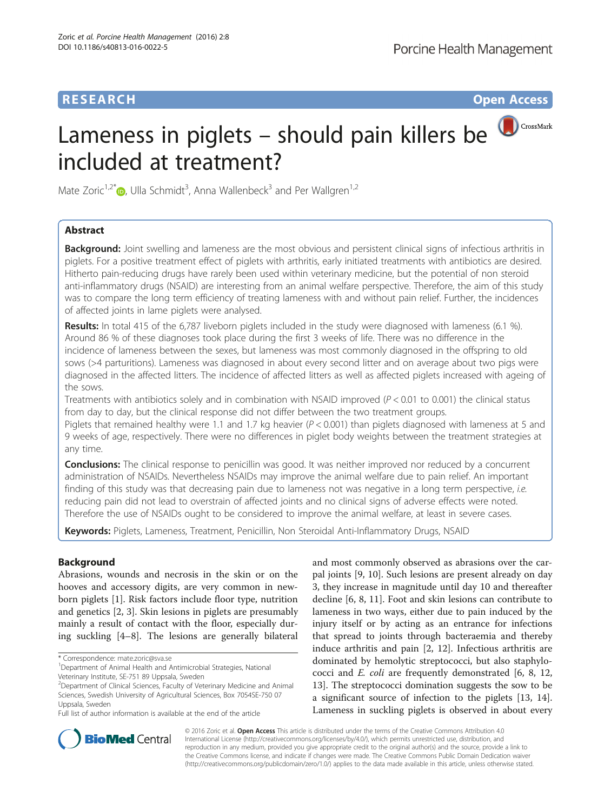# **RESEARCH CHILD CONTROL** CONTROL CONTROL CONTROL CONTROL CONTROL CONTROL CONTROL CONTROL CONTROL CONTROL CONTROL CONTROL CONTROL CONTROL CONTROL CONTROL CONTROL CONTROL CONTROL CONTROL CONTROL CONTROL CONTROL CONTROL CONTR

# CrossMark Lameness in piglets – should pain killers be included at treatment?

Mate Zoric<sup>1,2[\\*](http://orcid.org/0000-0003-2916-7739)</sup>®, Ulla Schmidt<sup>3</sup>, Anna Wallenbeck<sup>3</sup> and Per Wallgren<sup>1,2</sup>

# Abstract

**Background:** Joint swelling and lameness are the most obvious and persistent clinical signs of infectious arthritis in piglets. For a positive treatment effect of piglets with arthritis, early initiated treatments with antibiotics are desired. Hitherto pain-reducing drugs have rarely been used within veterinary medicine, but the potential of non steroid anti-inflammatory drugs (NSAID) are interesting from an animal welfare perspective. Therefore, the aim of this study was to compare the long term efficiency of treating lameness with and without pain relief. Further, the incidences of affected joints in lame piglets were analysed.

Results: In total 415 of the 6,787 liveborn piglets included in the study were diagnosed with lameness (6.1 %). Around 86 % of these diagnoses took place during the first 3 weeks of life. There was no difference in the incidence of lameness between the sexes, but lameness was most commonly diagnosed in the offspring to old sows (>4 parturitions). Lameness was diagnosed in about every second litter and on average about two pigs were diagnosed in the affected litters. The incidence of affected litters as well as affected piglets increased with ageing of the sows.

Treatments with antibiotics solely and in combination with NSAID improved ( $P < 0.01$  to 0.001) the clinical status from day to day, but the clinical response did not differ between the two treatment groups.

Piglets that remained healthy were 1.1 and 1.7 kg heavier  $(P < 0.001)$  than piglets diagnosed with lameness at 5 and 9 weeks of age, respectively. There were no differences in piglet body weights between the treatment strategies at any time.

**Conclusions:** The clinical response to penicillin was good. It was neither improved nor reduced by a concurrent administration of NSAIDs. Nevertheless NSAIDs may improve the animal welfare due to pain relief. An important finding of this study was that decreasing pain due to lameness not was negative in a long term perspective, i.e. reducing pain did not lead to overstrain of affected joints and no clinical signs of adverse effects were noted. Therefore the use of NSAIDs ought to be considered to improve the animal welfare, at least in severe cases.

Keywords: Piglets, Lameness, Treatment, Penicillin, Non Steroidal Anti-Inflammatory Drugs, NSAID

# Background

Abrasions, wounds and necrosis in the skin or on the hooves and accessory digits, are very common in newborn piglets [[1\]](#page-6-0). Risk factors include floor type, nutrition and genetics [\[2](#page-6-0), [3](#page-6-0)]. Skin lesions in piglets are presumably mainly a result of contact with the floor, especially during suckling [[4](#page-6-0)–[8\]](#page-6-0). The lesions are generally bilateral

\* Correspondence: [mate.zoric@sva.se](mailto:mate.zoric@sva.se) <sup>1</sup>

and most commonly observed as abrasions over the carpal joints [[9, 10\]](#page-6-0). Such lesions are present already on day 3, they increase in magnitude until day 10 and thereafter decline [[6, 8, 11\]](#page-6-0). Foot and skin lesions can contribute to lameness in two ways, either due to pain induced by the injury itself or by acting as an entrance for infections that spread to joints through bacteraemia and thereby induce arthritis and pain [[2, 12](#page-6-0)]. Infectious arthritis are dominated by hemolytic streptococci, but also staphylococci and E. coli are frequently demonstrated [\[6](#page-6-0), [8](#page-6-0), [12](#page-6-0), [13\]](#page-6-0). The streptococci domination suggests the sow to be a significant source of infection to the piglets [\[13, 14](#page-6-0)]. Lameness in suckling piglets is observed in about every



© 2016 Zoric et al. Open Access This article is distributed under the terms of the Creative Commons Attribution 4.0 International License [\(http://creativecommons.org/licenses/by/4.0/](http://creativecommons.org/licenses/by/4.0/)), which permits unrestricted use, distribution, and reproduction in any medium, provided you give appropriate credit to the original author(s) and the source, provide a link to the Creative Commons license, and indicate if changes were made. The Creative Commons Public Domain Dedication waiver [\(http://creativecommons.org/publicdomain/zero/1.0/](http://creativecommons.org/publicdomain/zero/1.0/)) applies to the data made available in this article, unless otherwise stated.

<sup>&</sup>lt;sup>1</sup>Department of Animal Health and Antimicrobial Strategies, National Veterinary Institute, SE-751 89 Uppsala, Sweden

<sup>&</sup>lt;sup>2</sup>Department of Clinical Sciences, Faculty of Veterinary Medicine and Animal Sciences, Swedish University of Agricultural Sciences, Box 7054SE-750 07 Uppsala, Sweden

Full list of author information is available at the end of the article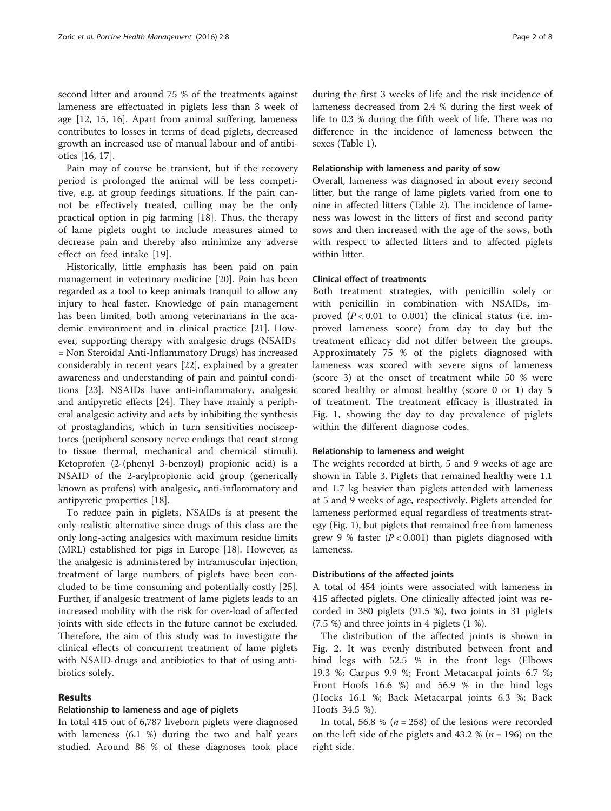second litter and around 75 % of the treatments against lameness are effectuated in piglets less than 3 week of age [\[12](#page-6-0), [15](#page-6-0), [16](#page-6-0)]. Apart from animal suffering, lameness contributes to losses in terms of dead piglets, decreased growth an increased use of manual labour and of antibiotics [[16, 17\]](#page-6-0).

Pain may of course be transient, but if the recovery period is prolonged the animal will be less competitive, e.g. at group feedings situations. If the pain cannot be effectively treated, culling may be the only practical option in pig farming [\[18\]](#page-6-0). Thus, the therapy of lame piglets ought to include measures aimed to decrease pain and thereby also minimize any adverse effect on feed intake [[19\]](#page-6-0).

Historically, little emphasis has been paid on pain management in veterinary medicine [\[20](#page-6-0)]. Pain has been regarded as a tool to keep animals tranquil to allow any injury to heal faster. Knowledge of pain management has been limited, both among veterinarians in the academic environment and in clinical practice [[21\]](#page-6-0). However, supporting therapy with analgesic drugs (NSAIDs = Non Steroidal Anti-Inflammatory Drugs) has increased considerably in recent years [[22](#page-6-0)], explained by a greater awareness and understanding of pain and painful conditions [[23\]](#page-7-0). NSAIDs have anti-inflammatory, analgesic and antipyretic effects [[24](#page-7-0)]. They have mainly a peripheral analgesic activity and acts by inhibiting the synthesis of prostaglandins, which in turn sensitivities nocisceptores (peripheral sensory nerve endings that react strong to tissue thermal, mechanical and chemical stimuli). Ketoprofen (2-(phenyl 3-benzoyl) propionic acid) is a NSAID of the 2-arylpropionic acid group (generically known as profens) with analgesic, anti-inflammatory and antipyretic properties [\[18](#page-6-0)].

To reduce pain in piglets, NSAIDs is at present the only realistic alternative since drugs of this class are the only long-acting analgesics with maximum residue limits (MRL) established for pigs in Europe [[18\]](#page-6-0). However, as the analgesic is administered by intramuscular injection, treatment of large numbers of piglets have been concluded to be time consuming and potentially costly [\[25](#page-7-0)]. Further, if analgesic treatment of lame piglets leads to an increased mobility with the risk for over-load of affected joints with side effects in the future cannot be excluded. Therefore, the aim of this study was to investigate the clinical effects of concurrent treatment of lame piglets with NSAID-drugs and antibiotics to that of using antibiotics solely.

# Results

### Relationship to lameness and age of piglets

In total 415 out of 6,787 liveborn piglets were diagnosed with lameness (6.1 %) during the two and half years studied. Around 86 % of these diagnoses took place during the first 3 weeks of life and the risk incidence of lameness decreased from 2.4 % during the first week of life to 0.3 % during the fifth week of life. There was no difference in the incidence of lameness between the sexes (Table [1](#page-2-0)).

#### Relationship with lameness and parity of sow

Overall, lameness was diagnosed in about every second litter, but the range of lame piglets varied from one to nine in affected litters (Table [2](#page-2-0)). The incidence of lameness was lowest in the litters of first and second parity sows and then increased with the age of the sows, both with respect to affected litters and to affected piglets within litter.

# Clinical effect of treatments

Both treatment strategies, with penicillin solely or with penicillin in combination with NSAIDs, improved  $(P < 0.01$  to 0.001) the clinical status (i.e. improved lameness score) from day to day but the treatment efficacy did not differ between the groups. Approximately 75 % of the piglets diagnosed with lameness was scored with severe signs of lameness (score 3) at the onset of treatment while 50 % were scored healthy or almost healthy (score 0 or 1) day 5 of treatment. The treatment efficacy is illustrated in Fig. [1,](#page-3-0) showing the day to day prevalence of piglets within the different diagnose codes.

#### Relationship to lameness and weight

The weights recorded at birth, 5 and 9 weeks of age are shown in Table [3.](#page-3-0) Piglets that remained healthy were 1.1 and 1.7 kg heavier than piglets attended with lameness at 5 and 9 weeks of age, respectively. Piglets attended for lameness performed equal regardless of treatments strategy (Fig. [1\)](#page-3-0), but piglets that remained free from lameness grew 9 % faster  $(P < 0.001)$  than piglets diagnosed with lameness.

#### Distributions of the affected joints

A total of 454 joints were associated with lameness in 415 affected piglets. One clinically affected joint was recorded in 380 piglets (91.5 %), two joints in 31 piglets (7.5 %) and three joints in 4 piglets (1 %).

The distribution of the affected joints is shown in Fig. [2.](#page-4-0) It was evenly distributed between front and hind legs with 52.5 % in the front legs (Elbows 19.3 %; Carpus 9.9 %; Front Metacarpal joints 6.7 %; Front Hoofs 16.6 %) and 56.9 % in the hind legs (Hocks 16.1 %; Back Metacarpal joints 6.3 %; Back Hoofs 34.5 %).

In total, 56.8 % ( $n = 258$ ) of the lesions were recorded on the left side of the piglets and 43.2 % ( $n = 196$ ) on the right side.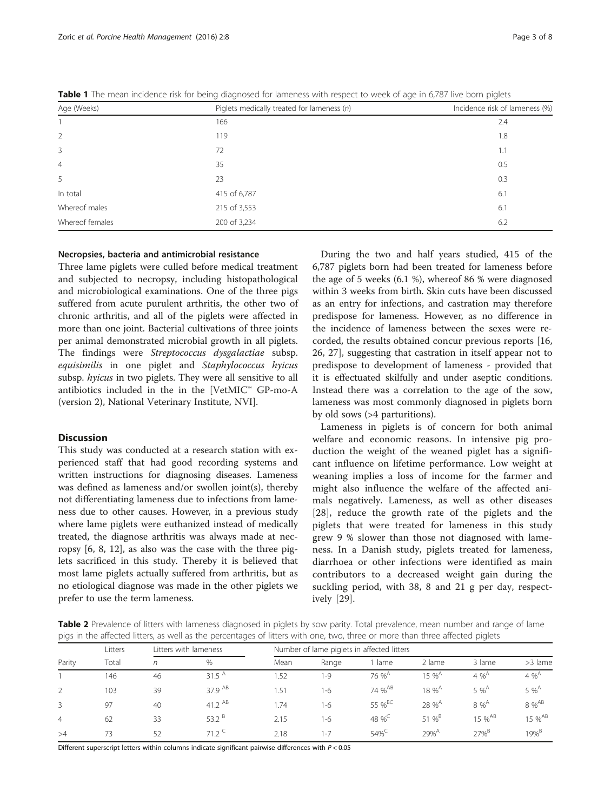| Age (Weeks)     | Piglets medically treated for lameness (n) | Incidence risk of lameness (%) |  |  |
|-----------------|--------------------------------------------|--------------------------------|--|--|
|                 | 166                                        | 2.4                            |  |  |
| 2               | 119                                        | 1.8                            |  |  |
| 3               | 72                                         | 1.1                            |  |  |
| $\overline{4}$  | 35                                         | 0.5                            |  |  |
| 5               | 23                                         | 0.3                            |  |  |
| In total        | 415 of 6,787                               | 6.1                            |  |  |
| Whereof males   | 215 of 3,553                               | 6.1                            |  |  |
| Whereof females | 200 of 3,234                               | 6.2                            |  |  |

<span id="page-2-0"></span>Table 1 The mean incidence risk for being diagnosed for lameness with respect to week of age in 6,787 live born piglets

## Necropsies, bacteria and antimicrobial resistance

Three lame piglets were culled before medical treatment and subjected to necropsy, including histopathological and microbiological examinations. One of the three pigs suffered from acute purulent arthritis, the other two of chronic arthritis, and all of the piglets were affected in more than one joint. Bacterial cultivations of three joints per animal demonstrated microbial growth in all piglets. The findings were Streptococcus dysgalactiae subsp. equisimilis in one piglet and Staphylococcus hyicus subsp. hyicus in two piglets. They were all sensitive to all antibiotics included in the in the [VetMIC™ GP-mo-A (version 2), National Veterinary Institute, NVI].

## **Discussion**

This study was conducted at a research station with experienced staff that had good recording systems and written instructions for diagnosing diseases. Lameness was defined as lameness and/or swollen joint(s), thereby not differentiating lameness due to infections from lameness due to other causes. However, in a previous study where lame piglets were euthanized instead of medically treated, the diagnose arthritis was always made at necropsy [[6](#page-6-0), [8](#page-6-0), [12\]](#page-6-0), as also was the case with the three piglets sacrificed in this study. Thereby it is believed that most lame piglets actually suffered from arthritis, but as no etiological diagnose was made in the other piglets we prefer to use the term lameness.

During the two and half years studied, 415 of the 6,787 piglets born had been treated for lameness before the age of 5 weeks (6.1 %), whereof 86 % were diagnosed within 3 weeks from birth. Skin cuts have been discussed as an entry for infections, and castration may therefore predispose for lameness. However, as no difference in the incidence of lameness between the sexes were recorded, the results obtained concur previous reports [[16](#page-6-0), [26, 27\]](#page-7-0), suggesting that castration in itself appear not to predispose to development of lameness - provided that it is effectuated skilfully and under aseptic conditions. Instead there was a correlation to the age of the sow, lameness was most commonly diagnosed in piglets born by old sows (>4 parturitions).

Lameness in piglets is of concern for both animal welfare and economic reasons. In intensive pig production the weight of the weaned piglet has a significant influence on lifetime performance. Low weight at weaning implies a loss of income for the farmer and might also influence the welfare of the affected animals negatively. Lameness, as well as other diseases [[28](#page-7-0)], reduce the growth rate of the piglets and the piglets that were treated for lameness in this study grew 9 % slower than those not diagnosed with lameness. In a Danish study, piglets treated for lameness, diarrhoea or other infections were identified as main contributors to a decreased weight gain during the suckling period, with 38, 8 and 21 g per day, respectively [[29\]](#page-7-0).

Table 2 Prevalence of litters with lameness diagnosed in piglets by sow parity. Total prevalence, mean number and range of lame pigs in the affected litters, as well as the percentages of litters with one, two, three or more than three affected piglets

| Parity         | Litters<br>Total | Litters with lameness |                   | Number of lame piglets in affected litters |       |                                   |                      |                    |                    |
|----------------|------------------|-----------------------|-------------------|--------------------------------------------|-------|-----------------------------------|----------------------|--------------------|--------------------|
|                |                  | n                     | %                 | Mean                                       | Range | lame                              | 2 lame               | 3 lame             | >3 lame            |
|                | 146              | 46                    | 31.5 $^{A}$       | .52                                        | 1-9   | 76 % <sup>A</sup>                 | $15\%^{\text{A}}$    | $4 \%^A$           | $4 \%^A$           |
|                | 103              | 39                    | 37.9 AB           | .51                                        | 1-6   | 74 % <sup>AB</sup>                | $18 \%$ <sup>A</sup> | $5\%^A$            | $5\%^A$            |
| 3              | 97               | 40                    | 41.2 $AB$         | .74                                        | 1-6   | 55 %BC                            | 28 % <sup>A</sup>    | $8 \%^A$           | 8 % <sup>AB</sup>  |
| $\overline{4}$ | 62               | 33                    | 53.2 <sup>B</sup> | 2.15                                       | 1-6   | 48 % <sup><math>\sim</math></sup> | 51 % $^{B}$          | 15 % <sup>AB</sup> | 15 % <sup>AB</sup> |
| >4             | 73               | 52                    | $71.2^{\circ}$    | 2.18                                       | 1-7   | $54\%$                            | $79%^{A}$            | $27%$ <sup>B</sup> | $19%^{B}$          |

Different superscript letters within columns indicate significant pairwise differences with P < 0.05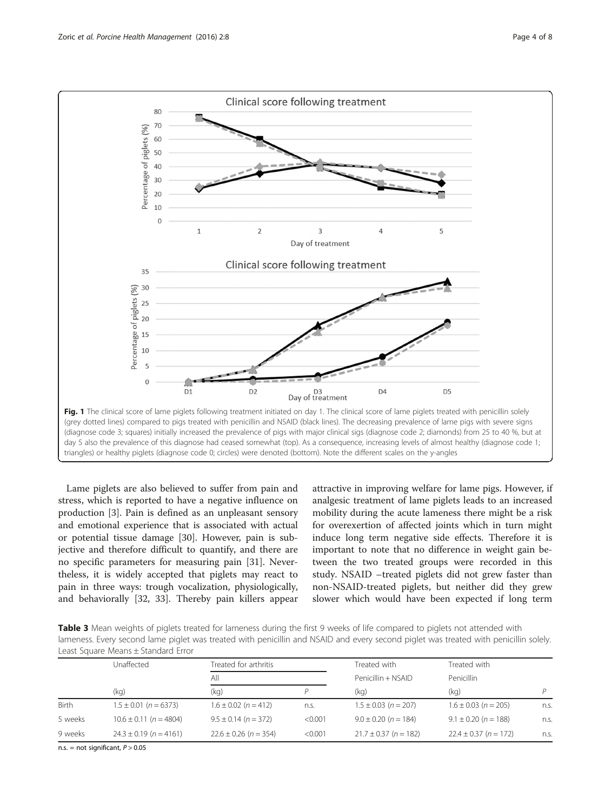<span id="page-3-0"></span>

Lame piglets are also believed to suffer from pain and stress, which is reported to have a negative influence on production [[3](#page-6-0)]. Pain is defined as an unpleasant sensory and emotional experience that is associated with actual or potential tissue damage [\[30](#page-7-0)]. However, pain is subjective and therefore difficult to quantify, and there are no specific parameters for measuring pain [\[31](#page-7-0)]. Nevertheless, it is widely accepted that piglets may react to pain in three ways: trough vocalization, physiologically, and behaviorally [\[32](#page-7-0), [33](#page-7-0)]. Thereby pain killers appear

attractive in improving welfare for lame pigs. However, if analgesic treatment of lame piglets leads to an increased mobility during the acute lameness there might be a risk for overexertion of affected joints which in turn might induce long term negative side effects. Therefore it is important to note that no difference in weight gain between the two treated groups were recorded in this study. NSAID –treated piglets did not grew faster than non-NSAID-treated piglets, but neither did they grew slower which would have been expected if long term

Table 3 Mean weights of piglets treated for lameness during the first 9 weeks of life compared to piglets not attended with lameness. Every second lame piglet was treated with penicillin and NSAID and every second piglet was treated with penicillin solely. Least Square Means ± Standard Error

|         | Unaffected                 | Treated for arthritis     |         | Treated with              | Treated with<br>Penicillin |      |
|---------|----------------------------|---------------------------|---------|---------------------------|----------------------------|------|
|         |                            | All                       |         | Penicillin + NSAID        |                            |      |
|         | (kg)                       | (kg)                      |         | (kq)                      | (kg)                       |      |
| Birth   | $1.5 \pm 0.01$ (n = 6373)  | $1.6 \pm 0.02$ (n = 412)  | n.s.    | $1.5 \pm 0.03$ (n = 207)  | $1.6 \pm 0.03$ (n = 205)   | n.s. |
| 5 weeks | $10.6 \pm 0.11$ (n = 4804) | $9.5 \pm 0.14$ (n = 372)  | < 0.001 | $9.0 \pm 0.20$ (n = 184)  | $9.1 \pm 0.20$ (n = 188)   | n.s. |
| 9 weeks | $24.3 \pm 0.19$ (n = 4161) | $22.6 \pm 0.26$ (n = 354) | < 0.001 | $21.7 \pm 0.37$ (n = 182) | $22.4 \pm 0.37$ (n = 172)  | n.s. |

n.s. = not significant,  $P > 0.05$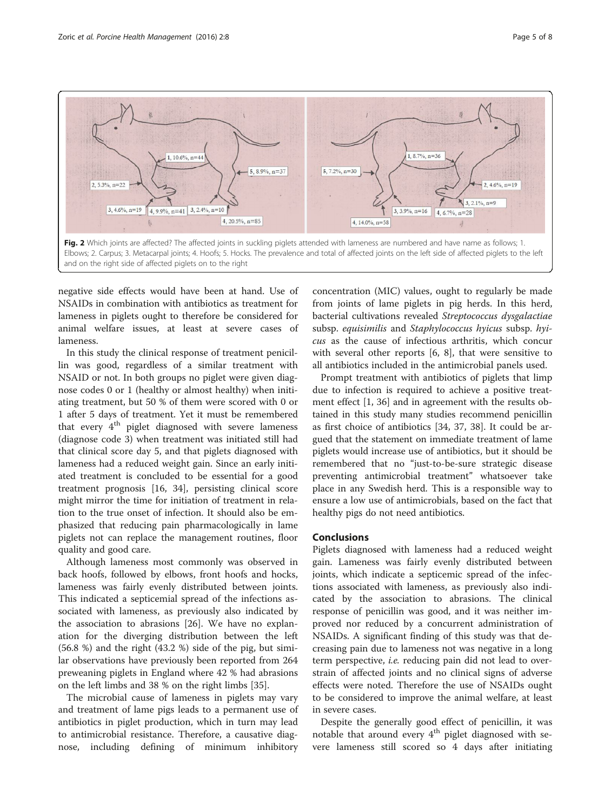<span id="page-4-0"></span>

negative side effects would have been at hand. Use of NSAIDs in combination with antibiotics as treatment for lameness in piglets ought to therefore be considered for animal welfare issues, at least at severe cases of lameness.

In this study the clinical response of treatment penicillin was good, regardless of a similar treatment with NSAID or not. In both groups no piglet were given diagnose codes 0 or 1 (healthy or almost healthy) when initiating treatment, but 50 % of them were scored with 0 or 1 after 5 days of treatment. Yet it must be remembered that every  $4<sup>th</sup>$  piglet diagnosed with severe lameness (diagnose code 3) when treatment was initiated still had that clinical score day 5, and that piglets diagnosed with lameness had a reduced weight gain. Since an early initiated treatment is concluded to be essential for a good treatment prognosis [[16,](#page-6-0) [34](#page-7-0)], persisting clinical score might mirror the time for initiation of treatment in relation to the true onset of infection. It should also be emphasized that reducing pain pharmacologically in lame piglets not can replace the management routines, floor quality and good care.

Although lameness most commonly was observed in back hoofs, followed by elbows, front hoofs and hocks, lameness was fairly evenly distributed between joints. This indicated a septicemial spread of the infections associated with lameness, as previously also indicated by the association to abrasions [[26\]](#page-7-0). We have no explanation for the diverging distribution between the left (56.8 %) and the right (43.2 %) side of the pig, but similar observations have previously been reported from 264 preweaning piglets in England where 42 % had abrasions on the left limbs and 38 % on the right limbs [[35](#page-7-0)].

The microbial cause of lameness in piglets may vary and treatment of lame pigs leads to a permanent use of antibiotics in piglet production, which in turn may lead to antimicrobial resistance. Therefore, a causative diagnose, including defining of minimum inhibitory

concentration (MIC) values, ought to regularly be made from joints of lame piglets in pig herds. In this herd, bacterial cultivations revealed Streptococcus dysgalactiae subsp. equisimilis and Staphylococcus hyicus subsp. hyicus as the cause of infectious arthritis, which concur with several other reports [[6, 8\]](#page-6-0), that were sensitive to all antibiotics included in the antimicrobial panels used.

Prompt treatment with antibiotics of piglets that limp due to infection is required to achieve a positive treatment effect [\[1](#page-6-0), [36](#page-7-0)] and in agreement with the results obtained in this study many studies recommend penicillin as first choice of antibiotics [\[34](#page-7-0), [37, 38](#page-7-0)]. It could be argued that the statement on immediate treatment of lame piglets would increase use of antibiotics, but it should be remembered that no "just-to-be-sure strategic disease preventing antimicrobial treatment" whatsoever take place in any Swedish herd. This is a responsible way to ensure a low use of antimicrobials, based on the fact that healthy pigs do not need antibiotics.

## **Conclusions**

Piglets diagnosed with lameness had a reduced weight gain. Lameness was fairly evenly distributed between joints, which indicate a septicemic spread of the infections associated with lameness, as previously also indicated by the association to abrasions. The clinical response of penicillin was good, and it was neither improved nor reduced by a concurrent administration of NSAIDs. A significant finding of this study was that decreasing pain due to lameness not was negative in a long term perspective, *i.e.* reducing pain did not lead to overstrain of affected joints and no clinical signs of adverse effects were noted. Therefore the use of NSAIDs ought to be considered to improve the animal welfare, at least in severe cases.

Despite the generally good effect of penicillin, it was notable that around every  $4<sup>th</sup>$  piglet diagnosed with severe lameness still scored so 4 days after initiating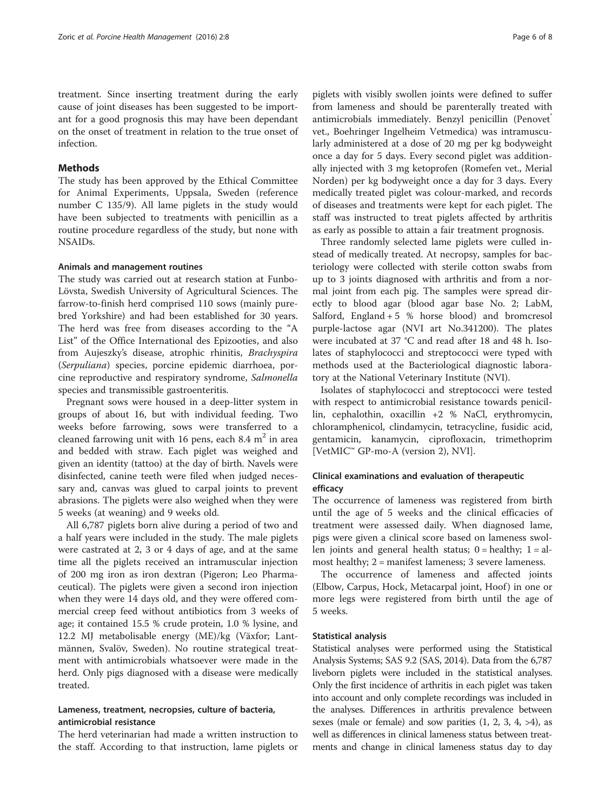treatment. Since inserting treatment during the early cause of joint diseases has been suggested to be important for a good prognosis this may have been dependant on the onset of treatment in relation to the true onset of infection.

# Methods

The study has been approved by the Ethical Committee for Animal Experiments, Uppsala, Sweden (reference number C 135/9). All lame piglets in the study would have been subjected to treatments with penicillin as a routine procedure regardless of the study, but none with NSAIDs.

#### Animals and management routines

The study was carried out at research station at Funbo-Lövsta, Swedish University of Agricultural Sciences. The farrow-to-finish herd comprised 110 sows (mainly purebred Yorkshire) and had been established for 30 years. The herd was free from diseases according to the "A List" of the Office International des Epizooties, and also from Aujeszky's disease, atrophic rhinitis, Brachyspira (Serpuliana) species, porcine epidemic diarrhoea, porcine reproductive and respiratory syndrome, Salmonella species and transmissible gastroenteritis.

Pregnant sows were housed in a deep-litter system in groups of about 16, but with individual feeding. Two weeks before farrowing, sows were transferred to a cleaned farrowing unit with 16 pens, each  $8.4 \text{ m}^2$  in area and bedded with straw. Each piglet was weighed and given an identity (tattoo) at the day of birth. Navels were disinfected, canine teeth were filed when judged necessary and, canvas was glued to carpal joints to prevent abrasions. The piglets were also weighed when they were 5 weeks (at weaning) and 9 weeks old.

All 6,787 piglets born alive during a period of two and a half years were included in the study. The male piglets were castrated at 2, 3 or 4 days of age, and at the same time all the piglets received an intramuscular injection of 200 mg iron as iron dextran (Pigeron; Leo Pharmaceutical). The piglets were given a second iron injection when they were 14 days old, and they were offered commercial creep feed without antibiotics from 3 weeks of age; it contained 15.5 % crude protein, 1.0 % lysine, and 12.2 MJ metabolisable energy (ME)/kg (Växfor; Lantmännen, Svalöv, Sweden). No routine strategical treatment with antimicrobials whatsoever were made in the herd. Only pigs diagnosed with a disease were medically treated.

# Lameness, treatment, necropsies, culture of bacteria, antimicrobial resistance

The herd veterinarian had made a written instruction to the staff. According to that instruction, lame piglets or

piglets with visibly swollen joints were defined to suffer from lameness and should be parenterally treated with antimicrobials immediately. Benzyl penicillin (Penovet vet., Boehringer Ingelheim Vetmedica) was intramuscularly administered at a dose of 20 mg per kg bodyweight once a day for 5 days. Every second piglet was additionally injected with 3 mg ketoprofen (Romefen vet., Merial Norden) per kg bodyweight once a day for 3 days. Every medically treated piglet was colour-marked, and records of diseases and treatments were kept for each piglet. The staff was instructed to treat piglets affected by arthritis as early as possible to attain a fair treatment prognosis.

Three randomly selected lame piglets were culled instead of medically treated. At necropsy, samples for bacteriology were collected with sterile cotton swabs from up to 3 joints diagnosed with arthritis and from a normal joint from each pig. The samples were spread directly to blood agar (blood agar base No. 2; LabM, Salford, England  $+5$  % horse blood) and bromcresol purple-lactose agar (NVI art No.341200). The plates were incubated at 37 °C and read after 18 and 48 h. Isolates of staphylococci and streptococci were typed with methods used at the Bacteriological diagnostic laboratory at the National Veterinary Institute (NVI).

Isolates of staphylococci and streptococci were tested with respect to antimicrobial resistance towards penicillin, cephalothin, oxacillin +2 % NaCl, erythromycin, chloramphenicol, clindamycin, tetracycline, fusidic acid, gentamicin, kanamycin, ciprofloxacin, trimethoprim [VetMIC™ GP-mo-A (version 2), NVI].

# Clinical examinations and evaluation of therapeutic efficacy

The occurrence of lameness was registered from birth until the age of 5 weeks and the clinical efficacies of treatment were assessed daily. When diagnosed lame, pigs were given a clinical score based on lameness swollen joints and general health status;  $0 =$  healthy;  $1 =$  almost healthy; 2 = manifest lameness; 3 severe lameness.

The occurrence of lameness and affected joints (Elbow, Carpus, Hock, Metacarpal joint, Hoof) in one or more legs were registered from birth until the age of 5 weeks.

## Statistical analysis

Statistical analyses were performed using the Statistical Analysis Systems; SAS 9.2 (SAS, 2014). Data from the 6,787 liveborn piglets were included in the statistical analyses. Only the first incidence of arthritis in each piglet was taken into account and only complete recordings was included in the analyses. Differences in arthritis prevalence between sexes (male or female) and sow parities  $(1, 2, 3, 4, >4)$ , as well as differences in clinical lameness status between treatments and change in clinical lameness status day to day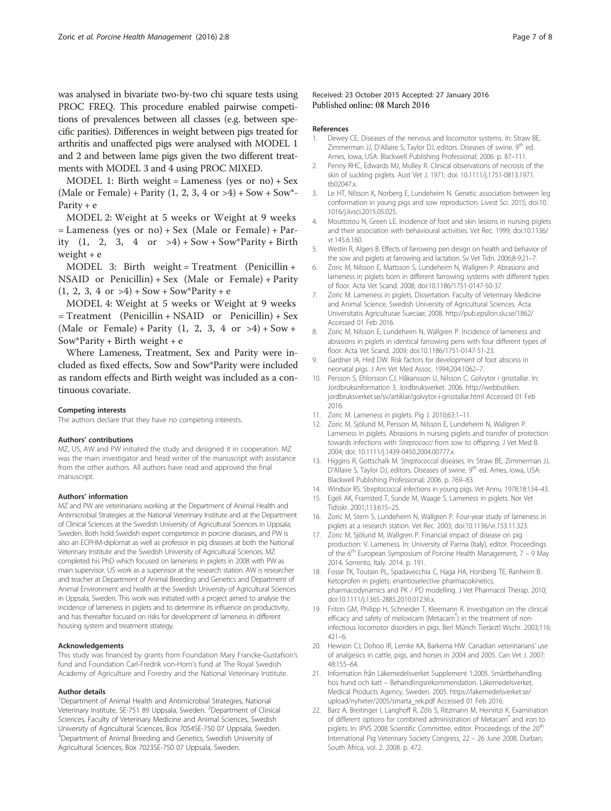<span id="page-6-0"></span>was analysed in bivariate two-by-two chi square tests using PROC FREQ. This procedure enabled pairwise competitions of prevalences between all classes (e.g. between specific parities). Differences in weight between pigs treated for arthritis and unaffected pigs were analysed with MODEL 1 and 2 and between lame pigs given the two different treatments with MODEL 3 and 4 using PROC MIXED.

MODEL 1: Birth weight = Lameness (yes or no) + Sex (Male or Female) + Parity  $(1, 2, 3, 4 \text{ or } >4)$  + Sow + Sow\*-Parity + e

MODEL 2: Weight at 5 weeks or Weight at 9 weeks = Lameness (yes or no) + Sex (Male or Female) + Parity  $(1, 2, 3, 4 \text{ or } -4) + \text{Sow} + \text{Sow}$ \*Parity + Birth weight  $+$  e

MODEL 3: Birth weight = Treatment (Penicillin + NSAID or Penicillin) + Sex (Male or Female) + Parity  $(1, 2, 3, 4 \text{ or } >4) +$  Sow + Sow\*Parity + e

MODEL 4: Weight at 5 weeks or Weight at 9 weeks  $=$  Treatment (Penicillin + NSAID or Penicillin) + Sex (Male or Female) + Parity (1, 2, 3, 4 or  $>4$ ) + Sow + Sow\*Parity + Birth weight + e

Where Lameness, Treatment, Sex and Parity were included as fixed effects, Sow and Sow\*Parity were included as random effects and Birth weight was included as a continuous covariate.

#### Competing interests

The authors declare that they have no competing interests.

#### Authors' contributions

MZ, US, AW and PW initiated the study and designed it in cooperation. MZ was the main investigator and head writer of the manuscript with assistance from the other authors. All authors have read and approved the final manuscript.

#### Authors' information

MZ and PW are veterinarians working at the Department of Animal Health and Antimicrobial Strategies at the National Veterinary Institute and at the Department of Clinical Sciences at the Swedish University of Agricultural Sciences in Uppsala, Sweden. Both hold Swedish expert competence in porcine diseases, and PW is also an ECPHM-diplomat as well as professor in pig diseases at both the National Veterinary Institute and the Swedish University of Agricultural Sciences. MZ completed his PhD which focused on lameness in piglets in 2008 with PW as main supervisor. US work as a supervisor at the research station. AW is researcher and teacher at Department of Animal Breeding and Genetics and Department of Animal Environment and health at the Swedish University of Agricultural Sciences in Uppsala, Sweden. This work was initiated with a project aimed to analyse the incidence of lameness in piglets and to determine its influence on productivity, and has thereafter focused on risks for development of lameness in different housing system and treatment strategy.

#### Acknowledgements

This study was financed by grants from Foundation Mary Francke-Gustafson's fund and Foundation Carl-Fredrik von-Horn's fund at The Royal Swedish Academy of Agriculture and Forestry and the National Veterinary Institute.

#### Author details

<sup>1</sup>Department of Animal Health and Antimicrobial Strategies, National Veterinary Institute, SE-751 89 Uppsala, Sweden. <sup>2</sup>Department of Clinical Sciences, Faculty of Veterinary Medicine and Animal Sciences, Swedish University of Agricultural Sciences, Box 7054SE-750 07 Uppsala, Sweden. <sup>3</sup>Department of Animal Breeding and Genetics, Swedish University of Agricultural Sciences, Box 7023SE-750 07 Uppsala, Sweden.

#### Received: 23 October 2015 Accepted: 27 January 2016 Published online: 08 March 2016

#### References

- 1. Dewey CE. Diseases of the nervous and locomotor systems. In: Straw BE, Zimmerman JJ, D'Allaire S, Taylor DJ, editors. Diseases of swine. 9<sup>th</sup> ed. Ames, Iowa, USA: Blackwell Publishing Professional; 2006. p. 87–111.
- 2. Penny RHC, Edwards MJ, Mulley R. Clinical observations of necrosis of the skin of suckling piglets. Aust Vet J. 1971; doi: [10.1111/j.1751-0813.1971.](http://dx.doi.org/10.1111/j.1751-0813.1971.tb02047.x) [tb02047.x](http://dx.doi.org/10.1111/j.1751-0813.1971.tb02047.x).
- 3. Le HT, Nilsson K, Norberg E, Lundeheim N. Genetic association between leg conformation in young pigs and sow reproduction. Livest Sci. 2015; doi:[10.](http://dx.doi.org/10.1016/j.livsci.2015.05.025) [1016/j.livsci.2015.05.025](http://dx.doi.org/10.1016/j.livsci.2015.05.025).
- 4. Mouttotou N, Green LE. Incidence of foot and skin lesions in nursing piglets and their association with behavioural activities. Vet Rec. 1999; doi:[10.1136/](http://dx.doi.org/10.1136/vr.145.6.160) [vr.145.6.160](http://dx.doi.org/10.1136/vr.145.6.160).
- 5. Westin R, Algers B. Effects of farrowing pen design on health and behavior of the sow and piglets at farrowing and lactation. Sv Vet Tidn. 2006;8-9:21–7.
- 6. Zoric M, Nilsson E, Mattsson S, Lundeheim N, Wallgren P. Abrasions and lameness in piglets born in different farrowing systems with different types of floor. Acta Vet Scand. 2008; doi:[10.1186/1751-0147-50-37.](http://dx.doi.org/10.1186/1751-0147-50-37)
- 7. Zoric M. Lameness in piglets. Dissertation. Faculty of Veterinary Medicine and Animal Science, Swedish University of Agricultural Sciences. Acta Universitatis Agriculturae Sueciae; 2008.<http://pub.epsilon.slu.se/1862/> Accessed 01 Feb 2016.
- 8. Zoric M, Nilsson E, Lundeheim N, Wallgren P. Incidence of lameness and abrasions in piglets in identical farrowing pens with four different types of floor. Acta Vet Scand. 2009; doi:[10.1186/1751-0147-51-23](http://dx.doi.org/10.1186/1751-0147-51-23).
- 9. Gardner IA, Hird DW. Risk factors for development of foot abscess in neonatal pigs. J Am Vet Med Assoc. 1994;204:1062–7.
- 10. Persson S, Ehlorsson CJ, Håkansson U, Nilsson C. Golvytor i grisstallar. In: Jordbruksinformation 3. Jordbruksverket. 2006. [http://webbutiken.](http://webbutiken.jordbruksverket.se/sv/artiklar/golvytor-i-grisstallar.html) [jordbruksverket.se/sv/artiklar/golvytor-i-grisstallar.html](http://webbutiken.jordbruksverket.se/sv/artiklar/golvytor-i-grisstallar.html) Accessed 01 Feb 2016.
- 11. Zoric M. Lameness in piglets. Pig J. 2010;63:1–11.
- 12. Zoric M, Sjölund M, Persson M, Nilsson E, Lundeheim N, Wallgren P. Lameness in piglets. Abrasions in nursing piglets and transfer of protection towards infections with Streptococci from sow to offspring. J Vet Med B. 2004; doi: [10.1111/j.1439-0450.2004.00777.x.](http://dx.doi.org/10.1111/j.1439-0450.2004.00777.x)
- 13. Higgins R, Gottschalk M. Streptococcal diseases. In: Straw BE, Zimmerman JJ, D'Allaire S, Taylor DJ, editors. Diseases of swine. 9<sup>th</sup> ed. Ames, Iowa, USA: Blackwell Publishing Professional; 2006. p. 769–83.
- 14. Windsor RS. Streptococcal infections in young pigs. Vet Annu. 1978;18:134–43.
- 15. Egeli AK, Framsted T, Sunde M, Waage S. Lameness in piglets. Nor Vet Tidsskr. 2001;113:615–25.
- 16. Zoric M, Stern S, Lundeheim N, Wallgren P. Four-year study of lameness in piglets at a research station. Vet Rec. 2003; doi:[10.1136/vr.153.11.323.](http://dx.doi.org/10.1136/vr.153.11.323)
- 17. Zoric M, Sjölund M, Wallgren P. Financial impact of disease on pig production: V. Lameness. In: University of Parma (Italy), editor. Proceedings of the  $6<sup>th</sup>$  European Symposium of Porcine Health Management,  $7 - 9$  May 2014, Sorrento, Italy. 2014. p. 191.
- 18. Fosse TK, Toutain PL, Spadavecchia C, Haga HA, Horsberg TE, Ranheim B. Ketoprofen in piglets: enantioselective pharmacokinetics, pharmacodynamics and PK ⁄ PD modelling. J Vet Pharmacol Therap. 2010; doi[:10.1111/j.1365-2885.2010.01236.x](http://dx.doi.org/10.1111/j.1365-2885.2010.01236.x).
- 19. Friton GM, Philipp H, Schneider T, Kleemann R. Investigation on the clinical efficacy and safety of meloxicam (Metacam<sup>®</sup>) in the treatment of noninfectious locomotor disorders in pigs. Berl Münch Tierärztl Wschr. 2003;116: 421–6.
- 20. Hewson CJ, Dohoo IR, Lemke KA, Barkema HW. Canadian veterinarians' use of analgesics in cattle, pigs, and horses in 2004 and 2005. Can Vet J. 2007; 48:155–64.
- 21. Information från Läkemedelsverket Supplement 1:2005. Smärtbehandling hos hund och katt – Behandlingsrekommendation. Läkemedelsverket, Medical Products Agency, Sweden. 2005. [https://lakemedelsverket.se/](https://lakemedelsverket.se/upload/nyheter/2005/smarta_rek.pdf) [upload/nyheter/2005/smarta\\_rek.pdf](https://lakemedelsverket.se/upload/nyheter/2005/smarta_rek.pdf) Accessed 01 Feb 2016.
- 22. Barz A, Breitinger I, Langhoff R, Zöls S, Ritzmann M, Heinritzi K. Examination of different options for combined administration of Metacam® and iron to piglets. In: IPVS 2008 Scientific Committee, editor. Proceedings of the 20<sup>th</sup> International Pig Veterinary Society Congress, 22 – 26 June 2008, Durban, South Africa, vol. 2. 2008. p. 472.